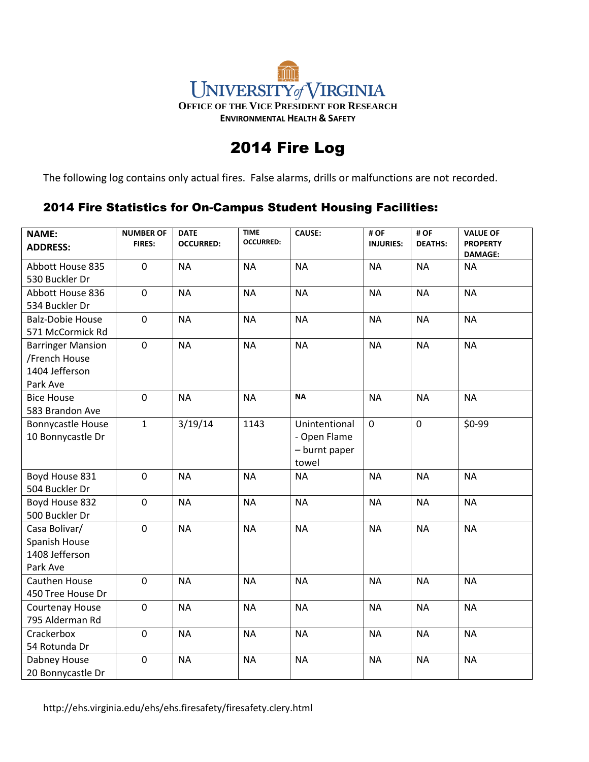## ्तिको र UNIVERSITY of VIRGINIA **OFFICE OF THE VICE PRESIDENT FOR RESEARCH ENVIRONMENTAL HEALTH & SAFETY**

## 2014 Fire Log

The following log contains only actual fires. False alarms, drills or malfunctions are not recorded.

## 2014 Fire Statistics for On-Campus Student Housing Facilities:

| <b>NAME:</b><br><b>ADDRESS:</b> | <b>NUMBER OF</b><br><b>FIRES:</b> | <b>DATE</b><br><b>OCCURRED:</b> | <b>TIME</b><br><b>OCCURRED:</b> | <b>CAUSE:</b> | # OF<br><b>INJURIES:</b> | #OF<br><b>DEATHS:</b> | <b>VALUE OF</b><br><b>PROPERTY</b> |
|---------------------------------|-----------------------------------|---------------------------------|---------------------------------|---------------|--------------------------|-----------------------|------------------------------------|
|                                 |                                   |                                 |                                 |               |                          |                       | <b>DAMAGE:</b>                     |
| Abbott House 835                | $\mathbf 0$                       | <b>NA</b>                       | <b>NA</b>                       | <b>NA</b>     | <b>NA</b>                | <b>NA</b>             | <b>NA</b>                          |
| 530 Buckler Dr                  |                                   |                                 |                                 |               |                          |                       |                                    |
| Abbott House 836                | $\pmb{0}$                         | <b>NA</b>                       | <b>NA</b>                       | <b>NA</b>     | <b>NA</b>                | <b>NA</b>             | <b>NA</b>                          |
| 534 Buckler Dr                  |                                   |                                 |                                 |               |                          |                       |                                    |
| <b>Balz-Dobie House</b>         | $\mathbf 0$                       | <b>NA</b>                       | <b>NA</b>                       | <b>NA</b>     | <b>NA</b>                | <b>NA</b>             | <b>NA</b>                          |
| 571 McCormick Rd                |                                   |                                 |                                 |               |                          |                       |                                    |
| <b>Barringer Mansion</b>        | $\mathbf 0$                       | <b>NA</b>                       | <b>NA</b>                       | <b>NA</b>     | <b>NA</b>                | <b>NA</b>             | <b>NA</b>                          |
| /French House                   |                                   |                                 |                                 |               |                          |                       |                                    |
| 1404 Jefferson                  |                                   |                                 |                                 |               |                          |                       |                                    |
| Park Ave                        |                                   |                                 |                                 |               |                          |                       |                                    |
| <b>Bice House</b>               | $\mathbf 0$                       | <b>NA</b>                       | <b>NA</b>                       | <b>NA</b>     | <b>NA</b>                | <b>NA</b>             | <b>NA</b>                          |
| 583 Brandon Ave                 |                                   |                                 |                                 |               |                          |                       |                                    |
| Bonnycastle House               | $\mathbf{1}$                      | 3/19/14                         | 1143                            | Unintentional | $\mathbf 0$              | $\pmb{0}$             | \$0-99                             |
| 10 Bonnycastle Dr               |                                   |                                 |                                 | - Open Flame  |                          |                       |                                    |
|                                 |                                   |                                 |                                 | - burnt paper |                          |                       |                                    |
|                                 |                                   |                                 |                                 | towel         |                          |                       |                                    |
| Boyd House 831                  | $\mathbf 0$                       | <b>NA</b>                       | <b>NA</b>                       | <b>NA</b>     | <b>NA</b>                | <b>NA</b>             | <b>NA</b>                          |
| 504 Buckler Dr                  |                                   |                                 |                                 |               |                          |                       |                                    |
| Boyd House 832                  | $\mathbf 0$                       | <b>NA</b>                       | <b>NA</b>                       | <b>NA</b>     | <b>NA</b>                | <b>NA</b>             | <b>NA</b>                          |
| 500 Buckler Dr                  |                                   |                                 |                                 |               |                          |                       |                                    |
| Casa Bolivar/                   | $\mathbf 0$                       | <b>NA</b>                       | <b>NA</b>                       | <b>NA</b>     | <b>NA</b>                | <b>NA</b>             | <b>NA</b>                          |
| Spanish House                   |                                   |                                 |                                 |               |                          |                       |                                    |
| 1408 Jefferson                  |                                   |                                 |                                 |               |                          |                       |                                    |
| Park Ave                        |                                   |                                 |                                 |               |                          |                       |                                    |
| Cauthen House                   | $\mathbf 0$                       | <b>NA</b>                       | <b>NA</b>                       | <b>NA</b>     | <b>NA</b>                | <b>NA</b>             | <b>NA</b>                          |
| 450 Tree House Dr               |                                   |                                 |                                 |               |                          |                       |                                    |
| Courtenay House                 | $\mathbf 0$                       | <b>NA</b>                       | <b>NA</b>                       | <b>NA</b>     | <b>NA</b>                | <b>NA</b>             | <b>NA</b>                          |
| 795 Alderman Rd                 |                                   |                                 |                                 |               |                          |                       |                                    |
| Crackerbox                      | $\pmb{0}$                         | <b>NA</b>                       | <b>NA</b>                       | <b>NA</b>     | <b>NA</b>                | <b>NA</b>             | <b>NA</b>                          |
| 54 Rotunda Dr                   |                                   |                                 |                                 |               |                          |                       |                                    |
| Dabney House                    | $\mathbf 0$                       | <b>NA</b>                       | <b>NA</b>                       | <b>NA</b>     | <b>NA</b>                | <b>NA</b>             | <b>NA</b>                          |
| 20 Bonnycastle Dr               |                                   |                                 |                                 |               |                          |                       |                                    |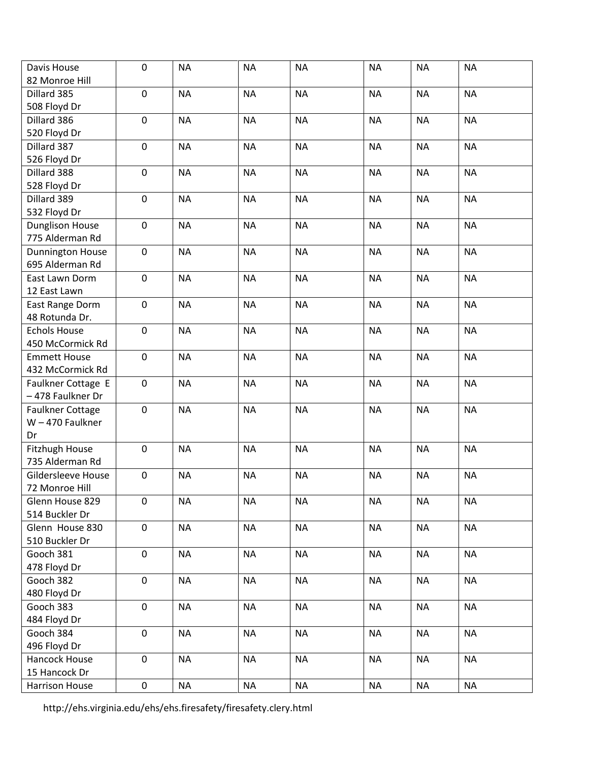| Davis House               | $\pmb{0}$   | <b>NA</b> | <b>NA</b> | <b>NA</b> | <b>NA</b> | <b>NA</b> | <b>NA</b> |
|---------------------------|-------------|-----------|-----------|-----------|-----------|-----------|-----------|
| 82 Monroe Hill            |             |           |           |           |           |           |           |
| Dillard 385               | $\mathbf 0$ | <b>NA</b> | <b>NA</b> | <b>NA</b> | <b>NA</b> | <b>NA</b> | <b>NA</b> |
| 508 Floyd Dr              |             |           |           |           |           |           |           |
| Dillard 386               | $\mathbf 0$ | <b>NA</b> | <b>NA</b> | <b>NA</b> | <b>NA</b> | <b>NA</b> | <b>NA</b> |
| 520 Floyd Dr              |             |           |           |           |           |           |           |
| Dillard 387               | $\pmb{0}$   | <b>NA</b> | <b>NA</b> | <b>NA</b> | <b>NA</b> | <b>NA</b> | <b>NA</b> |
| 526 Floyd Dr              |             |           |           |           |           |           |           |
| Dillard 388               | $\pmb{0}$   | <b>NA</b> | <b>NA</b> | <b>NA</b> | <b>NA</b> | <b>NA</b> | <b>NA</b> |
| 528 Floyd Dr              |             |           |           |           |           |           |           |
| Dillard 389               | $\pmb{0}$   | <b>NA</b> | <b>NA</b> | <b>NA</b> | <b>NA</b> | <b>NA</b> | <b>NA</b> |
| 532 Floyd Dr              |             |           |           |           |           |           |           |
| <b>Dunglison House</b>    | $\mathbf 0$ | <b>NA</b> | <b>NA</b> | <b>NA</b> | <b>NA</b> | <b>NA</b> | <b>NA</b> |
| 775 Alderman Rd           |             |           |           |           |           |           |           |
| Dunnington House          | $\pmb{0}$   | <b>NA</b> | <b>NA</b> | <b>NA</b> | <b>NA</b> | <b>NA</b> | <b>NA</b> |
| 695 Alderman Rd           |             |           |           |           |           |           |           |
| East Lawn Dorm            | $\pmb{0}$   | <b>NA</b> | <b>NA</b> | <b>NA</b> | <b>NA</b> | <b>NA</b> | <b>NA</b> |
| 12 East Lawn              |             |           |           |           |           |           |           |
| East Range Dorm           | $\mathbf 0$ | <b>NA</b> | <b>NA</b> | <b>NA</b> | <b>NA</b> | <b>NA</b> | <b>NA</b> |
| 48 Rotunda Dr.            |             |           |           |           |           |           |           |
| <b>Echols House</b>       | $\mathbf 0$ | <b>NA</b> | <b>NA</b> | <b>NA</b> | <b>NA</b> | <b>NA</b> | <b>NA</b> |
| 450 McCormick Rd          |             |           |           |           |           |           |           |
| <b>Emmett House</b>       | $\mathbf 0$ | <b>NA</b> | <b>NA</b> | <b>NA</b> | <b>NA</b> | <b>NA</b> | <b>NA</b> |
| 432 McCormick Rd          |             |           |           |           |           |           |           |
| Faulkner Cottage E        | $\pmb{0}$   | <b>NA</b> | <b>NA</b> | <b>NA</b> | <b>NA</b> | <b>NA</b> | <b>NA</b> |
| -478 Faulkner Dr          |             |           |           |           |           |           |           |
| Faulkner Cottage          | $\pmb{0}$   | <b>NA</b> | <b>NA</b> | <b>NA</b> | <b>NA</b> | <b>NA</b> | <b>NA</b> |
| $W - 470$ Faulkner        |             |           |           |           |           |           |           |
| Dr                        |             |           |           |           |           |           |           |
| Fitzhugh House            | $\mathbf 0$ | <b>NA</b> | <b>NA</b> | <b>NA</b> | <b>NA</b> | <b>NA</b> | <b>NA</b> |
| 735 Alderman Rd           |             |           |           |           |           |           |           |
| <b>Gildersleeve House</b> | $\pmb{0}$   | <b>NA</b> | <b>NA</b> | <b>NA</b> | <b>NA</b> | <b>NA</b> | <b>NA</b> |
| 72 Monroe Hill            |             |           |           |           |           |           |           |
| Glenn House 829           | $\mathbf 0$ | <b>NA</b> | <b>NA</b> | <b>NA</b> | <b>NA</b> | <b>NA</b> | <b>NA</b> |
| 514 Buckler Dr            |             |           |           |           |           |           |           |
| Glenn House 830           | $\mathbf 0$ | <b>NA</b> | <b>NA</b> | <b>NA</b> | <b>NA</b> | <b>NA</b> | <b>NA</b> |
| 510 Buckler Dr            |             |           |           |           |           |           |           |
| Gooch 381                 | $\pmb{0}$   | <b>NA</b> | <b>NA</b> | <b>NA</b> | <b>NA</b> | <b>NA</b> | <b>NA</b> |
| 478 Floyd Dr              |             |           |           |           |           |           |           |
| Gooch 382                 | $\mathbf 0$ | <b>NA</b> | <b>NA</b> | <b>NA</b> | <b>NA</b> | <b>NA</b> | <b>NA</b> |
| 480 Floyd Dr              |             |           |           |           |           |           |           |
| Gooch 383                 | $\mathbf 0$ | <b>NA</b> | <b>NA</b> | <b>NA</b> | <b>NA</b> | <b>NA</b> | <b>NA</b> |
| 484 Floyd Dr              |             |           |           |           |           |           |           |
| Gooch 384                 | $\mathbf 0$ | <b>NA</b> | <b>NA</b> | <b>NA</b> | <b>NA</b> | <b>NA</b> | <b>NA</b> |
| 496 Floyd Dr              |             |           |           |           |           |           |           |
| Hancock House             | $\mathbf 0$ | <b>NA</b> | <b>NA</b> | <b>NA</b> | <b>NA</b> | <b>NA</b> | <b>NA</b> |
| 15 Hancock Dr             |             |           |           |           |           |           |           |
| Harrison House            | $\mathbf 0$ | <b>NA</b> | <b>NA</b> | <b>NA</b> | <b>NA</b> | <b>NA</b> | <b>NA</b> |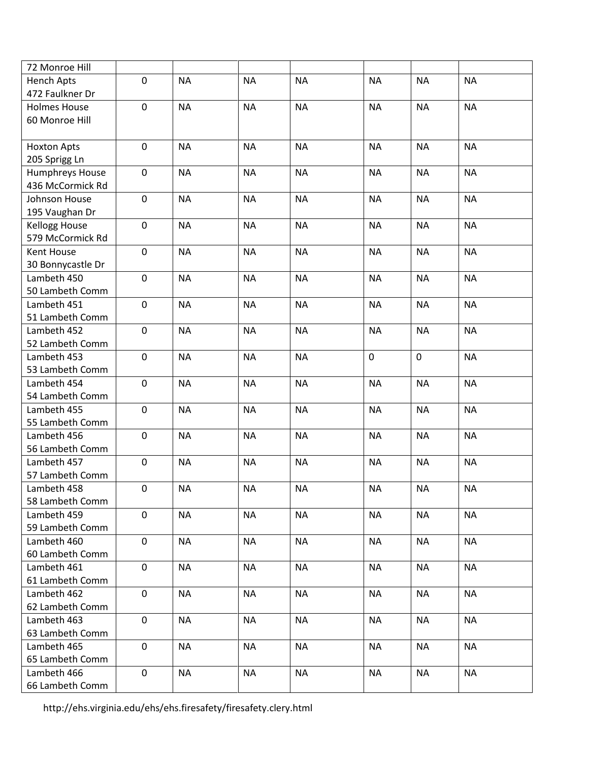| 72 Monroe Hill       |             |           |           |           |             |             |           |
|----------------------|-------------|-----------|-----------|-----------|-------------|-------------|-----------|
| <b>Hench Apts</b>    | $\mathbf 0$ | <b>NA</b> | <b>NA</b> | <b>NA</b> | <b>NA</b>   | <b>NA</b>   | <b>NA</b> |
| 472 Faulkner Dr      |             |           |           |           |             |             |           |
| <b>Holmes House</b>  | $\pmb{0}$   | <b>NA</b> | <b>NA</b> | <b>NA</b> | <b>NA</b>   | <b>NA</b>   | <b>NA</b> |
| 60 Monroe Hill       |             |           |           |           |             |             |           |
|                      |             |           |           |           |             |             |           |
| <b>Hoxton Apts</b>   | $\mathbf 0$ | <b>NA</b> | <b>NA</b> | <b>NA</b> | <b>NA</b>   | <b>NA</b>   | <b>NA</b> |
| 205 Sprigg Ln        |             |           |           |           |             |             |           |
| Humphreys House      | $\pmb{0}$   | <b>NA</b> | <b>NA</b> | <b>NA</b> | <b>NA</b>   | <b>NA</b>   | <b>NA</b> |
| 436 McCormick Rd     |             |           |           |           |             |             |           |
| Johnson House        | $\pmb{0}$   | <b>NA</b> | <b>NA</b> | <b>NA</b> | <b>NA</b>   | <b>NA</b>   | <b>NA</b> |
| 195 Vaughan Dr       |             |           |           |           |             |             |           |
| <b>Kellogg House</b> | $\mathbf 0$ | <b>NA</b> | <b>NA</b> | <b>NA</b> | <b>NA</b>   | <b>NA</b>   | <b>NA</b> |
| 579 McCormick Rd     |             |           |           |           |             |             |           |
| Kent House           | $\mathbf 0$ | <b>NA</b> | <b>NA</b> | <b>NA</b> | <b>NA</b>   | <b>NA</b>   | <b>NA</b> |
| 30 Bonnycastle Dr    |             |           |           |           |             |             |           |
| Lambeth 450          | $\mathbf 0$ | <b>NA</b> | <b>NA</b> | <b>NA</b> | <b>NA</b>   | <b>NA</b>   | <b>NA</b> |
| 50 Lambeth Comm      |             |           |           |           |             |             |           |
| Lambeth 451          | $\pmb{0}$   | <b>NA</b> | <b>NA</b> | <b>NA</b> | <b>NA</b>   | <b>NA</b>   | <b>NA</b> |
| 51 Lambeth Comm      |             |           |           |           |             |             |           |
| Lambeth 452          | $\mathbf 0$ | <b>NA</b> | <b>NA</b> | <b>NA</b> | <b>NA</b>   | <b>NA</b>   | <b>NA</b> |
| 52 Lambeth Comm      |             |           |           |           |             |             |           |
| Lambeth 453          | $\pmb{0}$   | <b>NA</b> | <b>NA</b> | <b>NA</b> | $\mathbf 0$ | $\mathbf 0$ | <b>NA</b> |
| 53 Lambeth Comm      |             |           |           |           |             |             |           |
| Lambeth 454          | $\pmb{0}$   | <b>NA</b> | <b>NA</b> | <b>NA</b> | <b>NA</b>   | <b>NA</b>   | <b>NA</b> |
| 54 Lambeth Comm      |             |           |           |           |             |             |           |
| Lambeth 455          | $\mathbf 0$ | <b>NA</b> | <b>NA</b> | <b>NA</b> | <b>NA</b>   | <b>NA</b>   | <b>NA</b> |
| 55 Lambeth Comm      |             |           |           |           |             |             |           |
| Lambeth 456          | $\mathbf 0$ | <b>NA</b> | <b>NA</b> | <b>NA</b> | <b>NA</b>   | <b>NA</b>   | <b>NA</b> |
| 56 Lambeth Comm      |             |           |           |           |             |             |           |
| Lambeth 457          | $\mathbf 0$ | <b>NA</b> | <b>NA</b> | <b>NA</b> | <b>NA</b>   | $\sf NA$    | <b>NA</b> |
| 57 Lambeth Comm      |             |           |           |           |             |             |           |
| Lambeth 458          | 0           | <b>NA</b> | <b>NA</b> | <b>NA</b> | <b>NA</b>   | <b>NA</b>   | <b>NA</b> |
| 58 Lambeth Comm      |             |           |           |           |             |             |           |
| Lambeth 459          | 0           | <b>NA</b> | <b>NA</b> | <b>NA</b> | <b>NA</b>   | <b>NA</b>   | <b>NA</b> |
| 59 Lambeth Comm      |             |           |           |           |             |             |           |
| Lambeth 460          | $\mathbf 0$ | <b>NA</b> | <b>NA</b> | <b>NA</b> | <b>NA</b>   | <b>NA</b>   | <b>NA</b> |
| 60 Lambeth Comm      |             |           |           |           |             |             |           |
| Lambeth 461          | $\mathbf 0$ | <b>NA</b> | <b>NA</b> | <b>NA</b> | <b>NA</b>   | <b>NA</b>   | <b>NA</b> |
| 61 Lambeth Comm      |             |           |           |           |             |             |           |
| Lambeth 462          | $\mathbf 0$ | <b>NA</b> | <b>NA</b> | <b>NA</b> | <b>NA</b>   | <b>NA</b>   | <b>NA</b> |
| 62 Lambeth Comm      |             |           |           |           |             |             |           |
| Lambeth 463          | $\mathbf 0$ | <b>NA</b> | <b>NA</b> | <b>NA</b> | <b>NA</b>   | <b>NA</b>   | <b>NA</b> |
| 63 Lambeth Comm      |             |           |           |           |             |             |           |
| Lambeth 465          | $\mathbf 0$ | <b>NA</b> | <b>NA</b> | <b>NA</b> | <b>NA</b>   | <b>NA</b>   | <b>NA</b> |
| 65 Lambeth Comm      |             |           |           |           |             |             |           |
| Lambeth 466          | $\mathbf 0$ | <b>NA</b> | <b>NA</b> | <b>NA</b> | <b>NA</b>   | <b>NA</b>   | <b>NA</b> |
| 66 Lambeth Comm      |             |           |           |           |             |             |           |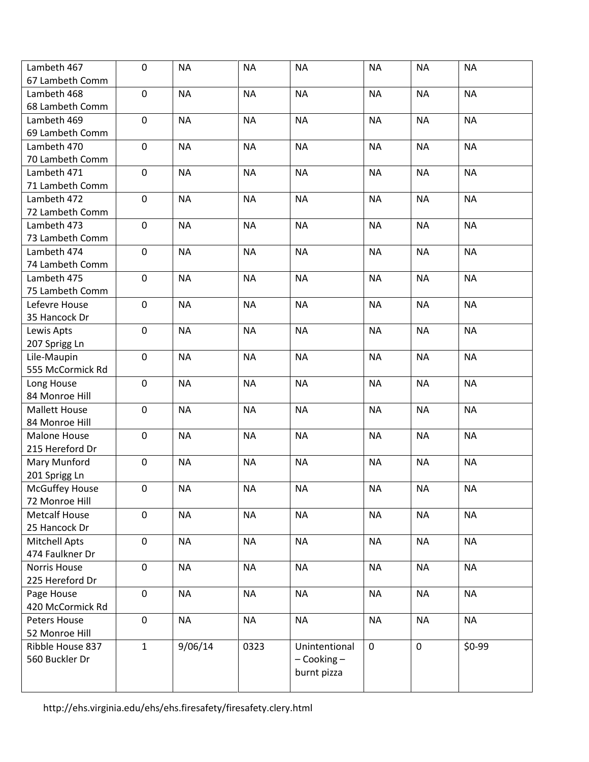| Lambeth 467           | $\mathbf 0$  | <b>NA</b> | <b>NA</b> | <b>NA</b>       | <b>NA</b>   | <b>NA</b>        | <b>NA</b> |
|-----------------------|--------------|-----------|-----------|-----------------|-------------|------------------|-----------|
| 67 Lambeth Comm       |              |           |           |                 |             |                  |           |
| Lambeth 468           | $\mathbf 0$  | <b>NA</b> | <b>NA</b> | <b>NA</b>       | <b>NA</b>   | <b>NA</b>        | <b>NA</b> |
| 68 Lambeth Comm       |              |           |           |                 |             |                  |           |
| Lambeth 469           | $\mathbf 0$  | <b>NA</b> | <b>NA</b> | <b>NA</b>       | <b>NA</b>   | <b>NA</b>        | <b>NA</b> |
| 69 Lambeth Comm       |              |           |           |                 |             |                  |           |
| Lambeth 470           | $\pmb{0}$    | <b>NA</b> | <b>NA</b> | <b>NA</b>       | <b>NA</b>   | <b>NA</b>        | <b>NA</b> |
| 70 Lambeth Comm       |              |           |           |                 |             |                  |           |
| Lambeth 471           | $\pmb{0}$    | <b>NA</b> | <b>NA</b> | <b>NA</b>       | <b>NA</b>   | <b>NA</b>        | <b>NA</b> |
| 71 Lambeth Comm       |              |           |           |                 |             |                  |           |
| Lambeth 472           | $\mathbf 0$  | <b>NA</b> | <b>NA</b> | <b>NA</b>       | <b>NA</b>   | <b>NA</b>        | <b>NA</b> |
| 72 Lambeth Comm       |              |           |           |                 |             |                  |           |
| Lambeth 473           | $\mathbf 0$  | <b>NA</b> | <b>NA</b> | <b>NA</b>       | <b>NA</b>   | <b>NA</b>        | <b>NA</b> |
| 73 Lambeth Comm       |              |           |           |                 |             |                  |           |
| Lambeth 474           | $\mathbf 0$  | <b>NA</b> | <b>NA</b> | <b>NA</b>       | <b>NA</b>   | <b>NA</b>        | <b>NA</b> |
| 74 Lambeth Comm       |              |           |           |                 |             |                  |           |
| Lambeth 475           | $\mathbf 0$  | <b>NA</b> | <b>NA</b> | <b>NA</b>       | <b>NA</b>   | <b>NA</b>        | <b>NA</b> |
| 75 Lambeth Comm       |              |           |           |                 |             |                  |           |
| Lefevre House         | $\mathbf 0$  | <b>NA</b> | <b>NA</b> | <b>NA</b>       | <b>NA</b>   | <b>NA</b>        | <b>NA</b> |
| 35 Hancock Dr         |              |           |           |                 |             |                  |           |
| Lewis Apts            | $\mathbf 0$  | <b>NA</b> | <b>NA</b> | <b>NA</b>       | <b>NA</b>   | <b>NA</b>        | <b>NA</b> |
| 207 Sprigg Ln         |              |           |           |                 |             |                  |           |
| Lile-Maupin           | $\mathbf 0$  | <b>NA</b> | <b>NA</b> | <b>NA</b>       | <b>NA</b>   | <b>NA</b>        | <b>NA</b> |
| 555 McCormick Rd      |              |           |           |                 |             |                  |           |
| Long House            | $\mathbf 0$  | <b>NA</b> | <b>NA</b> | <b>NA</b>       | <b>NA</b>   | <b>NA</b>        | <b>NA</b> |
| 84 Monroe Hill        |              |           |           |                 |             |                  |           |
| <b>Mallett House</b>  | $\pmb{0}$    | <b>NA</b> | <b>NA</b> | <b>NA</b>       | <b>NA</b>   | <b>NA</b>        | <b>NA</b> |
| 84 Monroe Hill        |              |           |           |                 |             |                  |           |
| Malone House          | $\mathbf{0}$ | <b>NA</b> | <b>NA</b> | <b>NA</b>       | <b>NA</b>   | <b>NA</b>        | <b>NA</b> |
| 215 Hereford Dr       |              |           |           |                 |             |                  |           |
| Mary Munford          | $\mathbf 0$  | <b>NA</b> | <b>NA</b> | <b>NA</b>       | <b>NA</b>   | <b>NA</b>        | <b>NA</b> |
| 201 Sprigg Ln         |              |           |           |                 |             |                  |           |
| <b>McGuffey House</b> | $\pmb{0}$    | <b>NA</b> | <b>NA</b> | <b>NA</b>       | <b>NA</b>   | <b>NA</b>        | <b>NA</b> |
| 72 Monroe Hill        |              |           |           |                 |             |                  |           |
| <b>Metcalf House</b>  | $\mathbf 0$  | <b>NA</b> | <b>NA</b> | <b>NA</b>       | <b>NA</b>   | <b>NA</b>        | <b>NA</b> |
| 25 Hancock Dr         |              |           |           |                 |             |                  |           |
| <b>Mitchell Apts</b>  | $\mathbf 0$  | <b>NA</b> | <b>NA</b> | <b>NA</b>       | <b>NA</b>   | <b>NA</b>        | <b>NA</b> |
| 474 Faulkner Dr       |              |           |           |                 |             |                  |           |
| <b>Norris House</b>   | $\mathbf 0$  | <b>NA</b> | <b>NA</b> | <b>NA</b>       | <b>NA</b>   | <b>NA</b>        | <b>NA</b> |
| 225 Hereford Dr       |              |           |           |                 |             |                  |           |
| Page House            | $\mathbf 0$  | <b>NA</b> | <b>NA</b> | <b>NA</b>       | <b>NA</b>   | <b>NA</b>        | <b>NA</b> |
| 420 McCormick Rd      |              |           |           |                 |             |                  |           |
| Peters House          | $\mathbf 0$  | <b>NA</b> | <b>NA</b> | <b>NA</b>       | <b>NA</b>   | <b>NA</b>        | <b>NA</b> |
| 52 Monroe Hill        |              |           |           |                 |             |                  |           |
| Ribble House 837      | $\mathbf{1}$ | 9/06/14   | 0323      | Unintentional   | $\mathbf 0$ | $\boldsymbol{0}$ | $$0-99$   |
| 560 Buckler Dr        |              |           |           | $-$ Cooking $-$ |             |                  |           |
|                       |              |           |           | burnt pizza     |             |                  |           |
|                       |              |           |           |                 |             |                  |           |